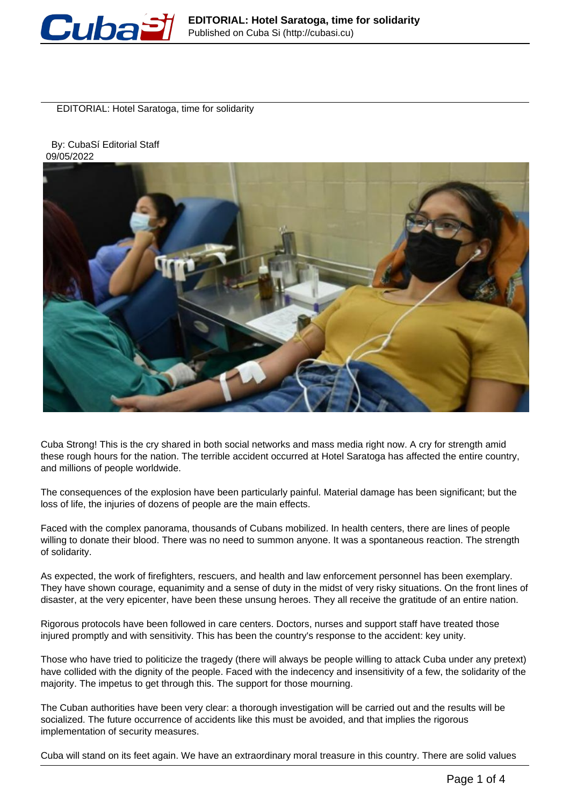

EDITORIAL: Hotel Saratoga, time for solidarity

By: CubaSí Editorial Staff

09/05/2022



Cuba Strong! This is the cry shared in both social networks and mass media right now. A cry for strength amid these rough hours for the nation. The terrible accident occurred at Hotel Saratoga has affected the entire country, and millions of people worldwide.

The consequences of the explosion have been particularly painful. Material damage has been significant; but the loss of life, the injuries of dozens of people are the main effects.

Faced with the complex panorama, thousands of Cubans mobilized. In health centers, there are lines of people willing to donate their blood. There was no need to summon anyone. It was a spontaneous reaction. The strength of solidarity.

As expected, the work of firefighters, rescuers, and health and law enforcement personnel has been exemplary. They have shown courage, equanimity and a sense of duty in the midst of very risky situations. On the front lines of disaster, at the very epicenter, have been these unsung heroes. They all receive the gratitude of an entire nation.

Rigorous protocols have been followed in care centers. Doctors, nurses and support staff have treated those injured promptly and with sensitivity. This has been the country's response to the accident: key unity.

Those who have tried to politicize the tragedy (there will always be people willing to attack Cuba under any pretext) have collided with the dignity of the people. Faced with the indecency and insensitivity of a few, the solidarity of the majority. The impetus to get through this. The support for those mourning.

The Cuban authorities have been very clear: a thorough investigation will be carried out and the results will be socialized. The future occurrence of accidents like this must be avoided, and that implies the rigorous implementation of security measures.

Cuba will stand on its feet again. We have an extraordinary moral treasure in this country. There are solid values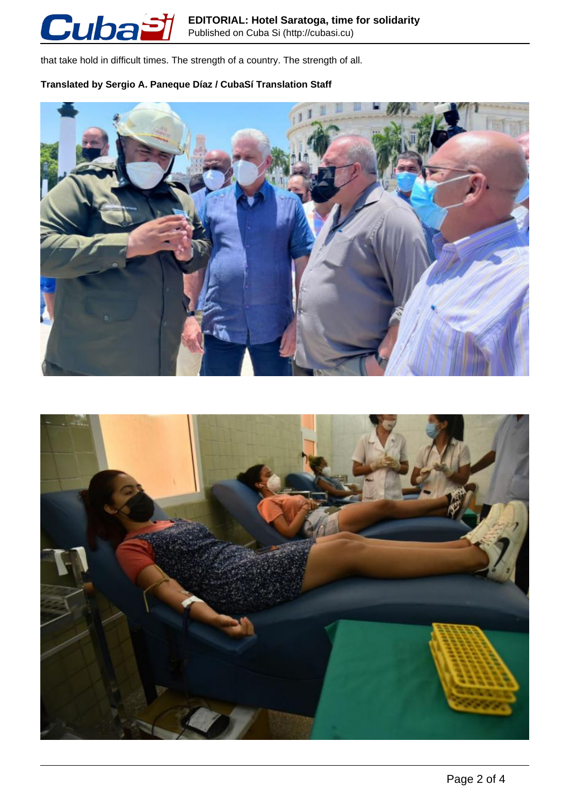

that take hold in difficult times. The strength of a country. The strength of all.

## **Translated by Sergio A. Paneque Díaz / CubaSí Translation Staff**



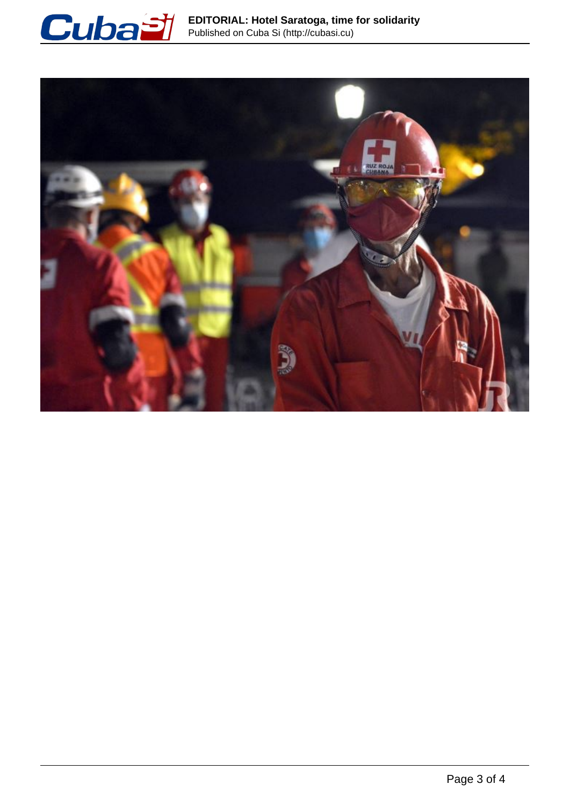